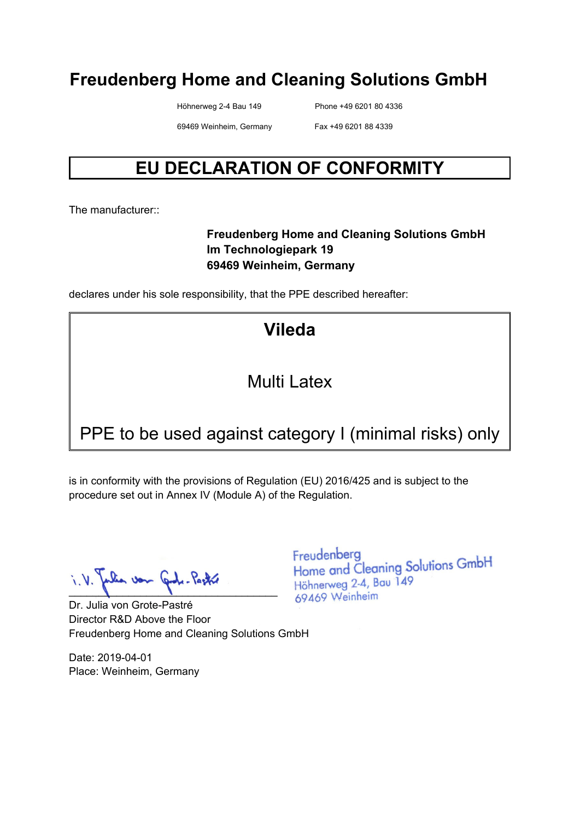Höhnerweg 2-4 Bau 149 Phone +49 6201 80 4336

69469 Weinheim, Germany Fax +49 6201 88 4339

## **EU DECLARATION OF CONFORMITY**

The manufacturer:

#### **Freudenberg Home and Cleaning Solutions GmbH Im Technologiepark 19 69469 Weinheim, Germany**

declares under his sole responsibility, that the PPE described hereafter:

**Vileda** 

#### Multi Latex

## PPE to be used against category I (minimal risks) only

is in conformity with the provisions of Regulation (EU) 2016/425 and is subject to the procedure set out in Annex IV (Module A) of the Regulation.

 $\blacksquare$ 

Dr. Julia von Grote-Pastré Director R&D Above the Floor Freudenberg Home and Cleaning Solutions GmbH

Date: 2019-04-01 Place: Weinheim, Germany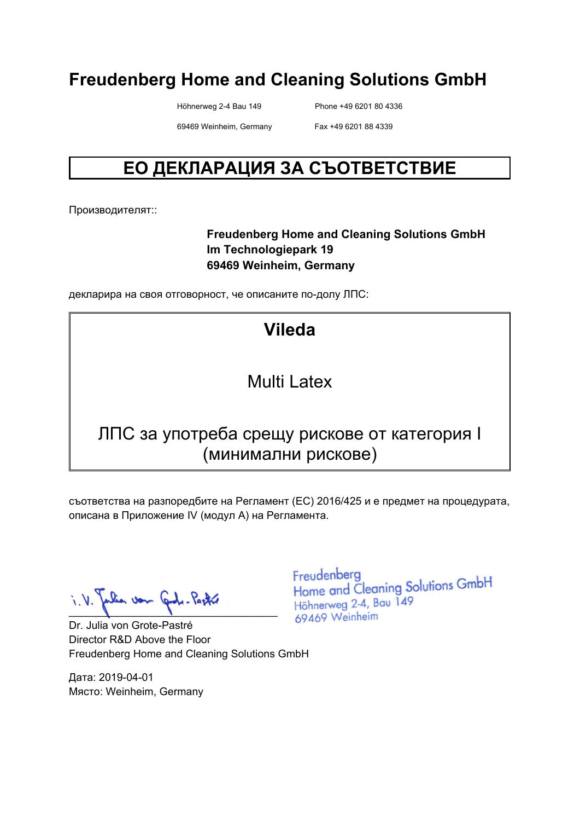Höhnerweg 2-4 Bau 149 Phone +49 6201 80 4336

69469 Weinheim, Germany Fax +49 6201 88 4339

## **ЕО ДЕКЛАРАЦИЯ ЗА СЪОТВЕТСТВИЕ**

Производителят::

#### **Freudenberg Home and Cleaning Solutions GmbH Im Technologiepark 19 69469 Weinheim, Germany**

декларира на своя отговорност, че описаните по-долу ЛПС:

## **Vileda**

#### Multi Latex

#### ЛПС за употреба срещу рискове от категория I (минимални рискове)

съответства на разпоредбите на Регламент (ЕС) 2016/425 и е предмет на процедурата, описана в Приложение IV (модул A) на Регламента.

 $\blacksquare$ 

Dr. Julia von Grote-Pastré Director R&D Above the Floor Freudenberg Home and Cleaning Solutions GmbH

Дата: 2019-04-01 Място: Weinheim, Germany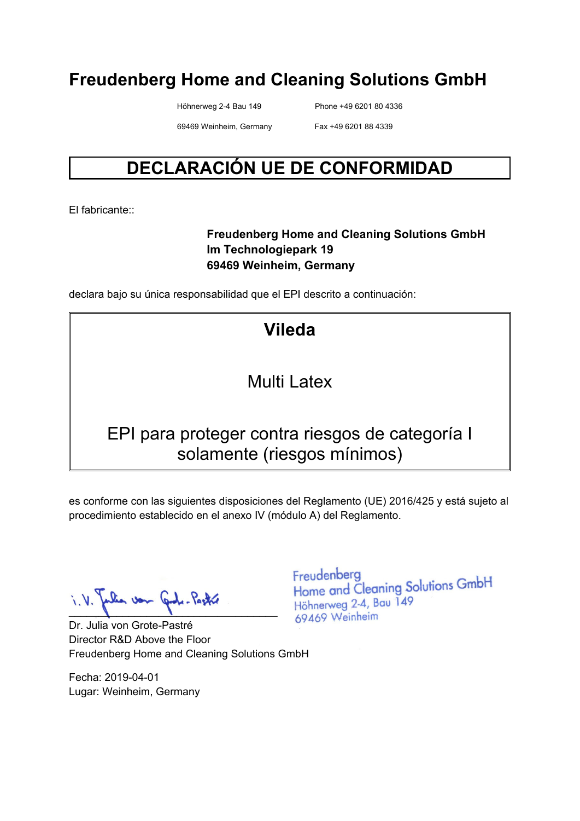Höhnerweg 2-4 Bau 149 Phone +49 6201 80 4336

69469 Weinheim, Germany Fax +49 6201 88 4339

## **DECLARACIÓN UE DE CONFORMIDAD**

El fabricante::

#### **Freudenberg Home and Cleaning Solutions GmbH Im Technologiepark 19 69469 Weinheim, Germany**

declara bajo su única responsabilidad que el EPI descrito a continuación:

**Vileda** 

#### Multi Latex

#### EPI para proteger contra riesgos de categoría I solamente (riesgos mínimos)

es conforme con las siguientes disposiciones del Reglamento (UE) 2016/425 y está sujeto al procedimiento establecido en el anexo IV (módulo A) del Reglamento.

 $\blacksquare$ 

Dr. Julia von Grote-Pastré Director R&D Above the Floor Freudenberg Home and Cleaning Solutions GmbH

Fecha: 2019-04-01 Lugar: Weinheim, Germany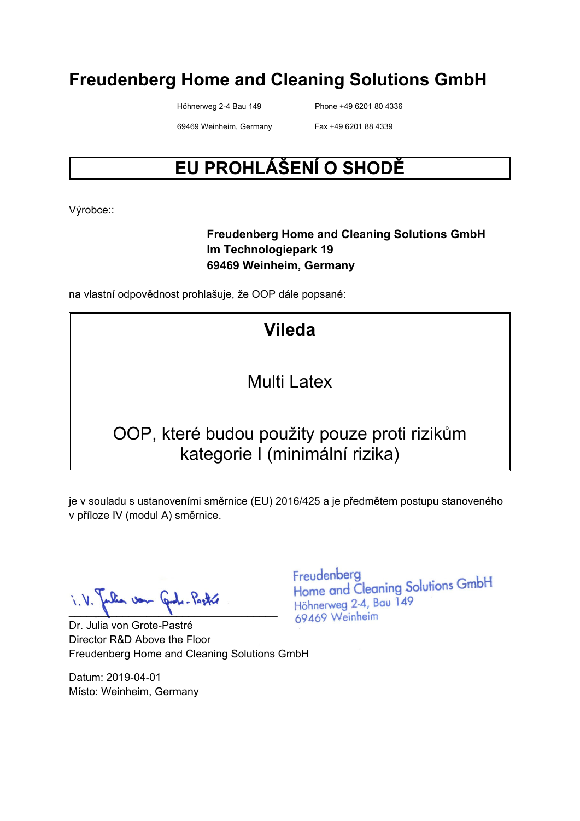Höhnerweg 2-4 Bau 149 Phone +49 6201 80 4336

69469 Weinheim, Germany Fax +49 6201 88 4339

# **EU PROHLÁŠENÍ O SHODĚ**

Výrobce::

#### **Freudenberg Home and Cleaning Solutions GmbH Im Technologiepark 19 69469 Weinheim, Germany**

na vlastní odpovědnost prohlašuje, že OOP dále popsané:

# **Vileda**

#### Multi Latex

### OOP, které budou použity pouze proti rizikům kategorie I (minimální rizika)

je v souladu s ustanoveními směrnice (EU) 2016/425 a je předmětem postupu stanoveného v příloze IV (modul A) směrnice.

 $\blacksquare$ 

Dr. Julia von Grote-Pastré Director R&D Above the Floor Freudenberg Home and Cleaning Solutions GmbH

Datum: 2019-04-01 Místo: Weinheim, Germany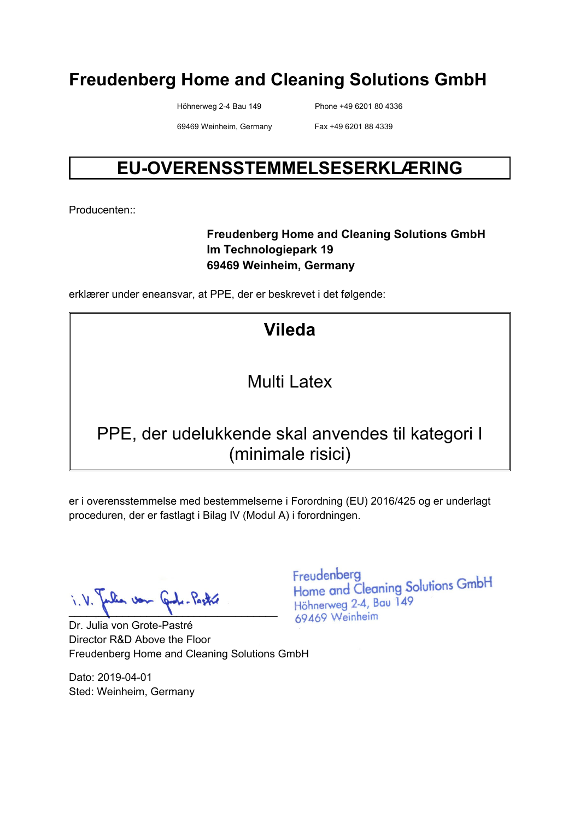Höhnerweg 2-4 Bau 149 Phone +49 6201 80 4336

69469 Weinheim, Germany Fax +49 6201 88 4339

### **EU-OVERENSSTEMMELSESERKLÆRING**

Producenten::

#### **Freudenberg Home and Cleaning Solutions GmbH Im Technologiepark 19 69469 Weinheim, Germany**

erklærer under eneansvar, at PPE, der er beskrevet i det følgende:

# **Vileda**

#### Multi Latex

### PPE, der udelukkende skal anvendes til kategori I (minimale risici)

er i overensstemmelse med bestemmelserne i Forordning (EU) 2016/425 og er underlagt proceduren, der er fastlagt i Bilag IV (Modul A) i forordningen.

lia von Gode-Pastre  $\blacksquare$ 

Dr. Julia von Grote-Pastré Director R&D Above the Floor Freudenberg Home and Cleaning Solutions GmbH

Dato: 2019-04-01 Sted: Weinheim, Germany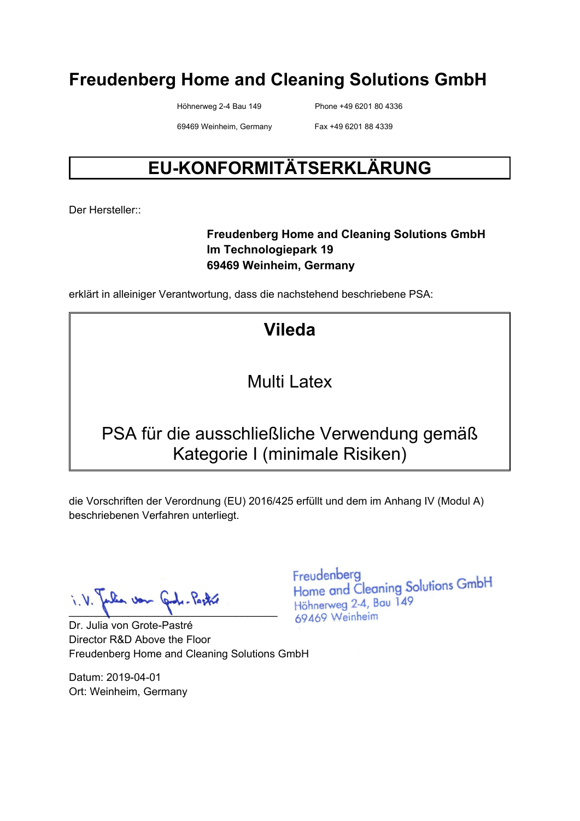Höhnerweg 2-4 Bau 149 Phone +49 6201 80 4336

69469 Weinheim, Germany Fax +49 6201 88 4339

# **EU-KONFORMITÄTSERKLÄRUNG**

Der Hersteller::

#### **Freudenberg Home and Cleaning Solutions GmbH Im Technologiepark 19 69469 Weinheim, Germany**

erklärt in alleiniger Verantwortung, dass die nachstehend beschriebene PSA:

## **Vileda**

#### Multi Latex

### PSA für die ausschließliche Verwendung gemäß Kategorie I (minimale Risiken)

die Vorschriften der Verordnung (EU) 2016/425 erfüllt und dem im Anhang IV (Modul A) beschriebenen Verfahren unterliegt.

 $\blacksquare$ 

Dr. Julia von Grote-Pastré Director R&D Above the Floor Freudenberg Home and Cleaning Solutions GmbH

Datum: 2019-04-01 Ort: Weinheim, Germany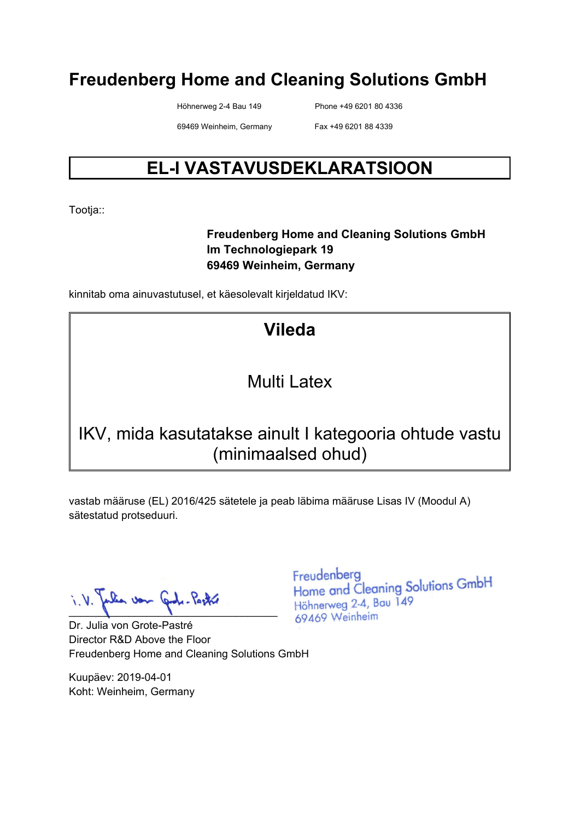Höhnerweg 2-4 Bau 149 Phone +49 6201 80 4336

69469 Weinheim, Germany Fax +49 6201 88 4339

## **EL-I VASTAVUSDEKLARATSIOON**

Tootja::

#### **Freudenberg Home and Cleaning Solutions GmbH Im Technologiepark 19 69469 Weinheim, Germany**

kinnitab oma ainuvastutusel, et käesolevalt kirjeldatud IKV:

# **Vileda**

#### Multi Latex

### IKV, mida kasutatakse ainult I kategooria ohtude vastu (minimaalsed ohud)

vastab määruse (EL) 2016/425 sätetele ja peab läbima määruse Lisas IV (Moodul A) sätestatud protseduuri.

lia von Cade-Pastre  $\blacksquare$ 

Dr. Julia von Grote-Pastré Director R&D Above the Floor Freudenberg Home and Cleaning Solutions GmbH

Kuupäev: 2019-04-01 Koht: Weinheim, Germany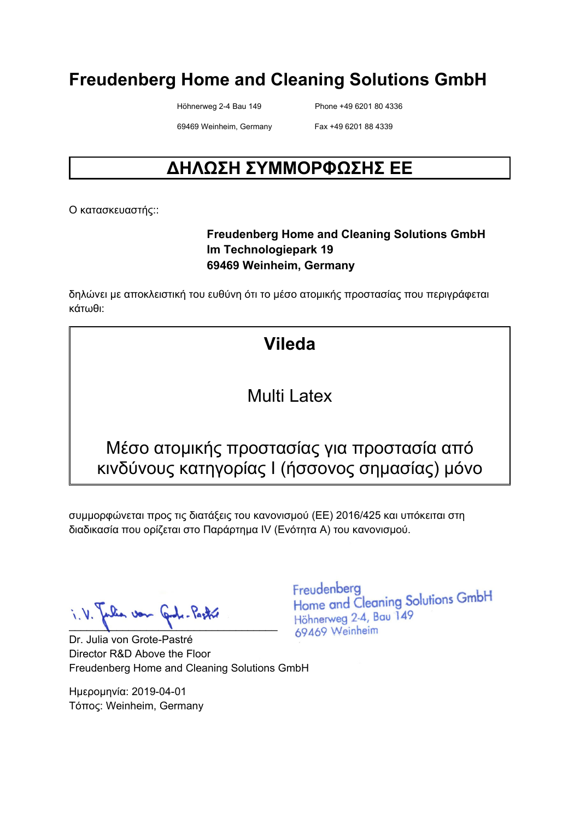Höhnerweg 2-4 Bau 149 Phone +49 6201 80 4336

69469 Weinheim, Germany Fax +49 6201 88 4339

## **ΔΗΛΩΣΗ ΣΥΜΜΟΡΦΩΣΗΣ ΕΕ**

Ο κατασκευαστής::

#### **Freudenberg Home and Cleaning Solutions GmbH Im Technologiepark 19 69469 Weinheim, Germany**

δηλώνει με αποκλειστική του ευθύνη ότι το μέσο ατομικής προστασίας που περιγράφεται κάτωθι:

## **Vileda**

#### Multi Latex

#### Μέσο ατομικής προστασίας για προστασία από κινδύνους κατηγορίας I (ήσσονος σημασίας) μόνο

συμμορφώνεται προς τις διατάξεις του κανονισμού (ΕΕ) 2016/425 και υπόκειται στη διαδικασία που ορίζεται στο Παράρτημα IV (Ενότητα Α) του κανονισμού.

 $\blacksquare$ 

Dr. Julia von Grote-Pastré Director R&D Above the Floor Freudenberg Home and Cleaning Solutions GmbH

Ημερομηνία: 2019-04-01 Τόπος: Weinheim, Germany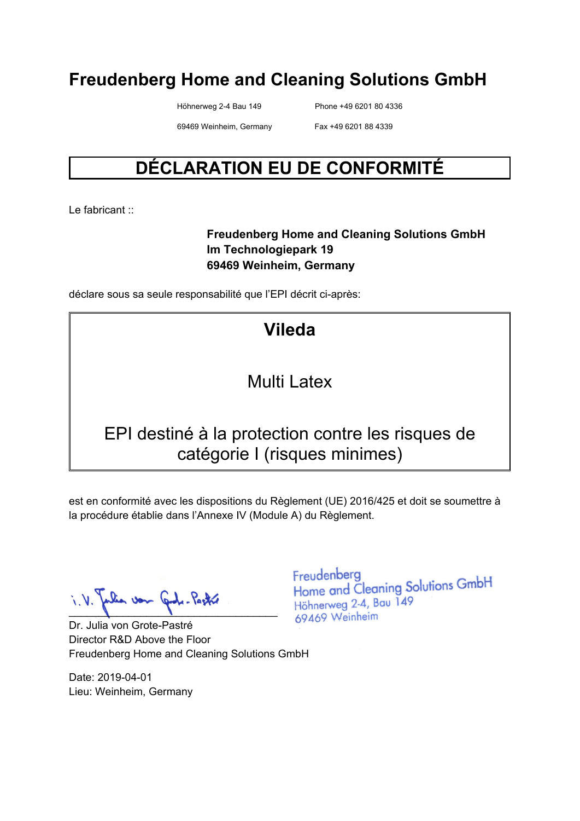Höhnerweg 2-4 Bau 149 Phone +49 6201 80 4336

69469 Weinheim, Germany Fax +49 6201 88 4339

## **DÉCLARATION EU DE CONFORMITÉ**

Le fabricant :

#### **Freudenberg Home and Cleaning Solutions GmbH Im Technologiepark 19 69469 Weinheim, Germany**

déclare sous sa seule responsabilité que l'EPI décrit ci-après:

## **Vileda**

#### Multi Latex

#### EPI destiné à la protection contre les risques de catégorie I (risques minimes)

est en conformité avec les dispositions du Règlement (UE) 2016/425 et doit se soumettre à la procédure établie dans l'Annexe IV (Module A) du Règlement.

 $\blacksquare$ 

Dr. Julia von Grote-Pastré Director R&D Above the Floor Freudenberg Home and Cleaning Solutions GmbH

Date: 2019-04-01 Lieu: Weinheim, Germany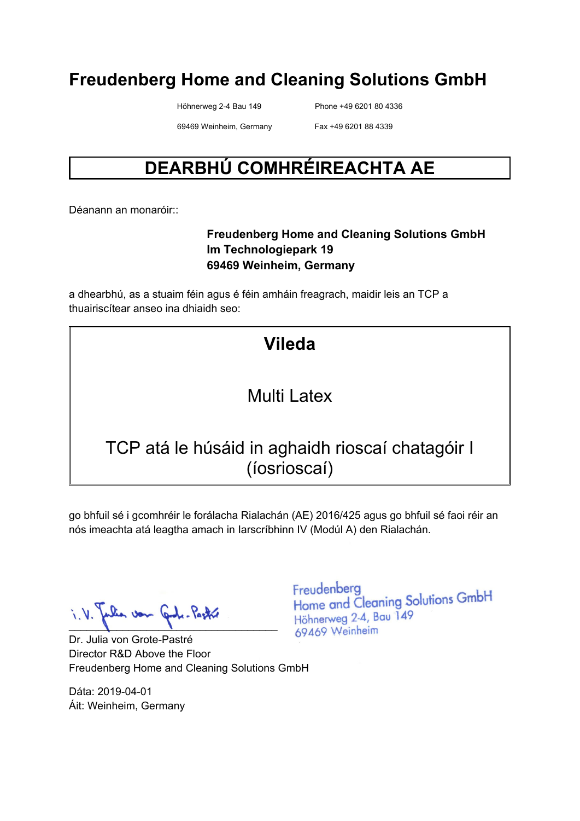Höhnerweg 2-4 Bau 149 Phone +49 6201 80 4336

69469 Weinheim, Germany Fax +49 6201 88 4339

# **DEARBHÚ COMHRÉIREACHTA AE**

Déanann an monaróir::

#### **Freudenberg Home and Cleaning Solutions GmbH Im Technologiepark 19 69469 Weinheim, Germany**

a dhearbhú, as a stuaim féin agus é féin amháin freagrach, maidir leis an TCP a thuairiscítear anseo ina dhiaidh seo:

#### Multi Latex

### TCP atá le húsáid in aghaidh rioscaí chatagóir I (íosrioscaí)

go bhfuil sé i gcomhréir le forálacha Rialachán (AE) 2016/425 agus go bhfuil sé faoi réir an nós imeachta atá leagtha amach in Iarscríbhinn IV (Modúl A) den Rialachán.

when von and - Pactor  $\blacksquare$ 

Dr. Julia von Grote-Pastré Director R&D Above the Floor Freudenberg Home and Cleaning Solutions GmbH

Dáta: 2019-04-01 Áit: Weinheim, Germany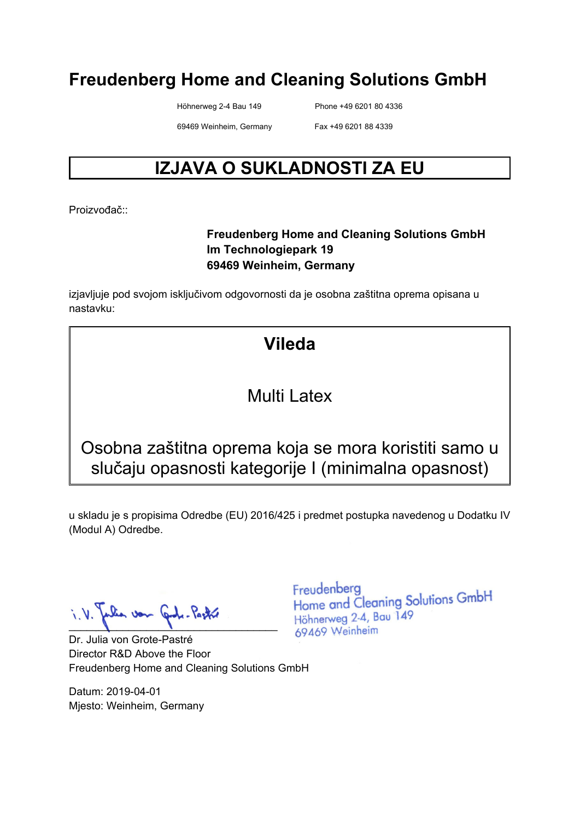Höhnerweg 2-4 Bau 149 Phone +49 6201 80 4336

69469 Weinheim, Germany Fax +49 6201 88 4339

## **IZJAVA O SUKLADNOSTI ZA EU**

Proizvođač<sup>::</sup>

#### **Freudenberg Home and Cleaning Solutions GmbH Im Technologiepark 19 69469 Weinheim, Germany**

izjavljuje pod svojom isključivom odgovornosti da je osobna zaštitna oprema opisana u nastavku:

## **Vileda**

#### Multi Latex

Osobna zaštitna oprema koja se mora koristiti samo u slučaju opasnosti kategorije I (minimalna opasnost)

u skladu je s propisima Odredbe (EU) 2016/425 i predmet postupka navedenog u Dodatku IV (Modul A) Odredbe.

 $\blacksquare$ 

Dr. Julia von Grote-Pastré Director R&D Above the Floor Freudenberg Home and Cleaning Solutions GmbH

Datum: 2019-04-01 Mjesto: Weinheim, Germany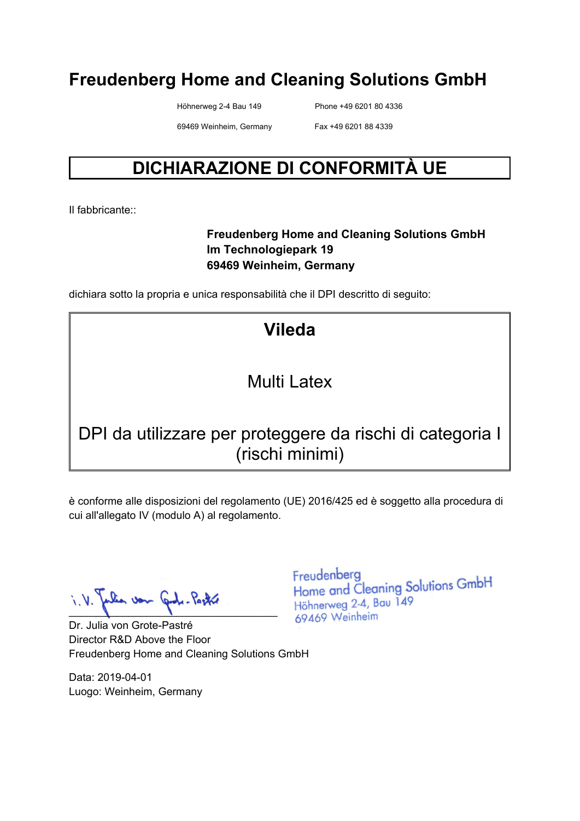Höhnerweg 2-4 Bau 149 Phone +49 6201 80 4336

69469 Weinheim, Germany Fax +49 6201 88 4339

## **DICHIARAZIONE DI CONFORMITÀ UE**

Il fabbricante::

#### **Freudenberg Home and Cleaning Solutions GmbH Im Technologiepark 19 69469 Weinheim, Germany**

dichiara sotto la propria e unica responsabilità che il DPI descritto di seguito:

**Vileda** 

#### Multi Latex

### DPI da utilizzare per proteggere da rischi di categoria I (rischi minimi)

è conforme alle disposizioni del regolamento (UE) 2016/425 ed è soggetto alla procedura di cui all'allegato IV (modulo A) al regolamento.

lia von Graf. Pastre  $\blacksquare$ 

Dr. Julia von Grote-Pastré Director R&D Above the Floor Freudenberg Home and Cleaning Solutions GmbH

Data: 2019-04-01 Luogo: Weinheim, Germany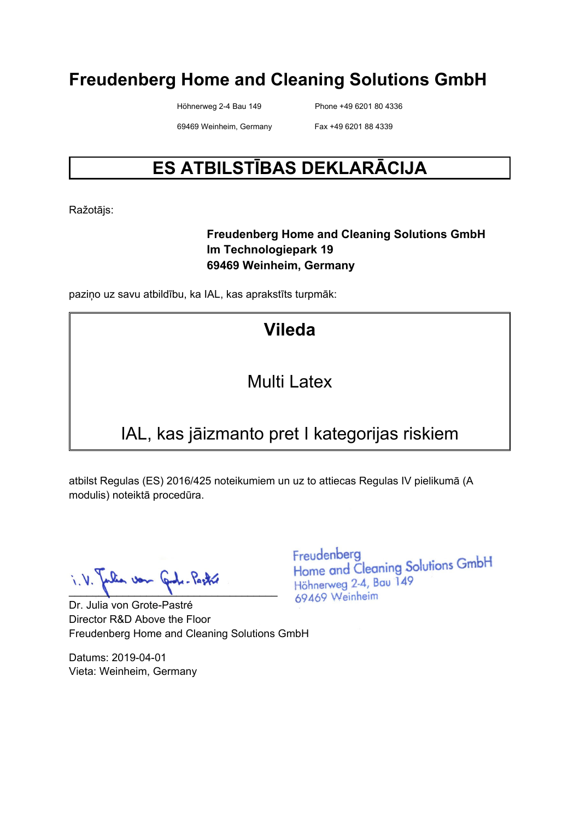Höhnerweg 2-4 Bau 149 Phone +49 6201 80 4336

69469 Weinheim, Germany Fax +49 6201 88 4339

## **ES ATBILSTĪBAS DEKLARĀCIJA**

Ražotājs:

#### **Freudenberg Home and Cleaning Solutions GmbH Im Technologiepark 19 69469 Weinheim, Germany**

paziņo uz savu atbildību, ka IAL, kas aprakstīts turpmāk:

## **Vileda**

#### Multi Latex

## IAL, kas jāizmanto pret I kategorijas riskiem

atbilst Regulas (ES) 2016/425 noteikumiem un uz to attiecas Regulas IV pielikumā (A modulis) noteiktā procedūra.

 $\blacksquare$ 

Dr. Julia von Grote-Pastré Director R&D Above the Floor Freudenberg Home and Cleaning Solutions GmbH

Datums: 2019-04-01 Vieta: Weinheim, Germany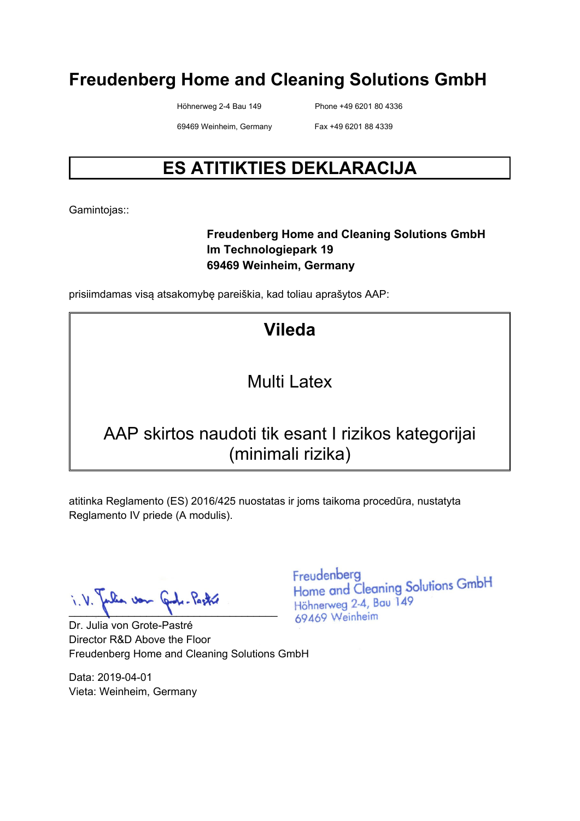Höhnerweg 2-4 Bau 149 Phone +49 6201 80 4336

69469 Weinheim, Germany Fax +49 6201 88 4339

# **ES ATITIKTIES DEKLARACIJA**

Gamintojas::

#### **Freudenberg Home and Cleaning Solutions GmbH Im Technologiepark 19 69469 Weinheim, Germany**

prisiimdamas visą atsakomybę pareiškia, kad toliau aprašytos AAP:

## **Vileda**

### Multi Latex

### AAP skirtos naudoti tik esant I rizikos kategorijai (minimali rizika)

atitinka Reglamento (ES) 2016/425 nuostatas ir joms taikoma procedūra, nustatyta Reglamento IV priede (A modulis).

 $\blacksquare$ 

Dr. Julia von Grote-Pastré Director R&D Above the Floor Freudenberg Home and Cleaning Solutions GmbH

Data: 2019-04-01 Vieta: Weinheim, Germany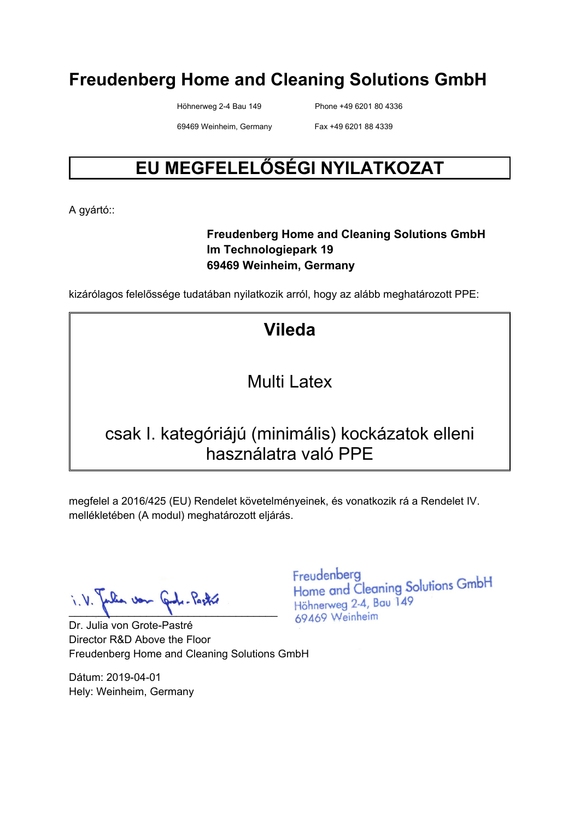Höhnerweg 2-4 Bau 149 Phone +49 6201 80 4336

69469 Weinheim, Germany Fax +49 6201 88 4339

# **EU MEGFELELŐSÉGI NYILATKOZAT**

A gyártó::

#### **Freudenberg Home and Cleaning Solutions GmbH Im Technologiepark 19 69469 Weinheim, Germany**

kizárólagos felelőssége tudatában nyilatkozik arról, hogy az alább meghatározott PPE:

## **Vileda**

### Multi Latex

#### csak I. kategóriájú (minimális) kockázatok elleni használatra való PPE

megfelel a 2016/425 (EU) Rendelet követelményeinek, és vonatkozik rá a Rendelet IV. mellékletében (A modul) meghatározott eljárás.

lia von Gode-Pastre  $\blacksquare$ 

Dr. Julia von Grote-Pastré Director R&D Above the Floor Freudenberg Home and Cleaning Solutions GmbH

Dátum: 2019-04-01 Hely: Weinheim, Germany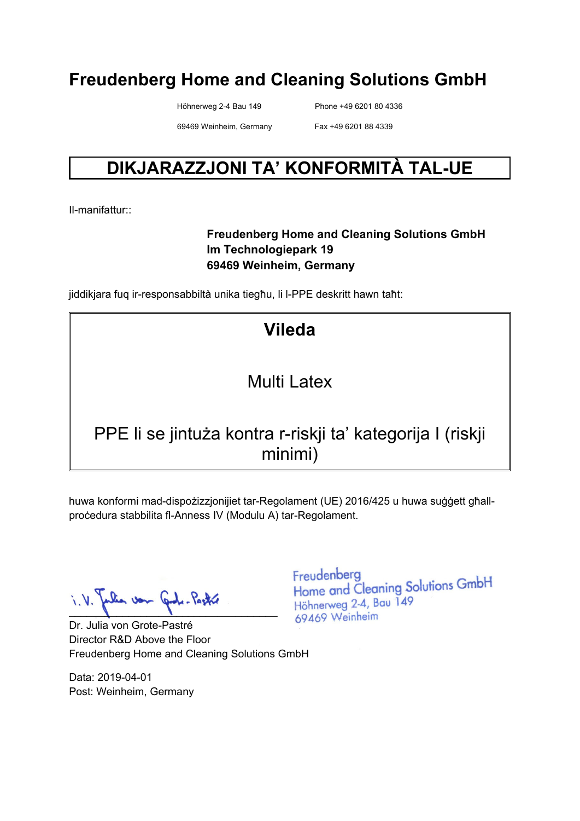Höhnerweg 2-4 Bau 149 Phone +49 6201 80 4336

69469 Weinheim, Germany Fax +49 6201 88 4339

## **DIKJARAZZJONI TA' KONFORMITÀ TAL-UE**

Il-manifattur::

#### **Freudenberg Home and Cleaning Solutions GmbH Im Technologiepark 19 69469 Weinheim, Germany**

jiddikjara fuq ir-responsabbiltà unika tiegħu, li l-PPE deskritt hawn taħt:

# **Vileda**

### Multi Latex

### PPE li se jintuża kontra r-riskji ta' kategorija I (riskji minimi)

huwa konformi mad-dispożizzjonijiet tar-Regolament (UE) 2016/425 u huwa suġġett għallproċedura stabbilita fl-Anness IV (Modulu A) tar-Regolament.

lia von Cade-Pastre  $\blacksquare$ 

Dr. Julia von Grote-Pastré Director R&D Above the Floor Freudenberg Home and Cleaning Solutions GmbH

Data: 2019-04-01 Post: Weinheim, Germany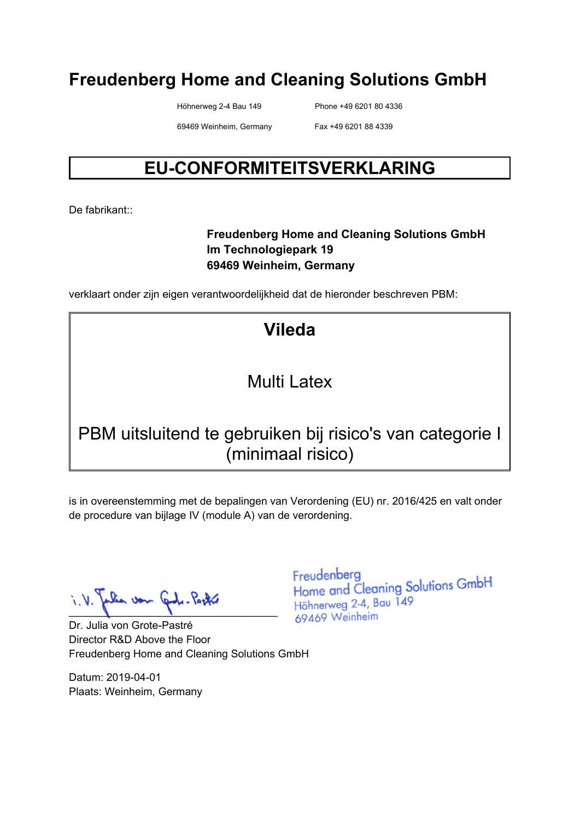Höhnerweg 2-4 Bau 149 Phone +49 6201 80 4336

69469 Weinheim, Germany Fax +49 6201 88 4339

## **EU-CONFORMITEITSVERKLARING**

De fabrikant<sup>::</sup>

#### **Freudenberg Home and Cleaning Solutions GmbH Im Technologiepark 19 69469 Weinheim, Germany**

verklaart onder zijn eigen verantwoordelijkheid dat de hieronder beschreven PBM:

# **Vileda**

### Multi Latex

### PBM uitsluitend te gebruiken bij risico's van categorie I (minimaal risico)

is in overeenstemming met de bepalingen van Verordening (EU) nr. 2016/425 en valt onder de procedure van bijlage IV (module A) van de verordening.

lia von Graf. Pastre  $\blacksquare$ 

Dr. Julia von Grote-Pastré Director R&D Above the Floor Freudenberg Home and Cleaning Solutions GmbH

Datum: 2019-04-01 Plaats: Weinheim, Germany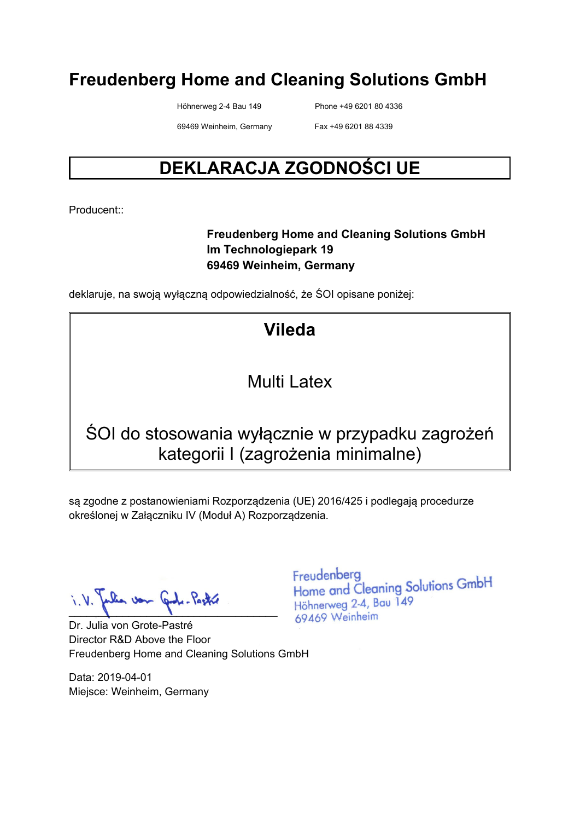Höhnerweg 2-4 Bau 149 Phone +49 6201 80 4336

69469 Weinheim, Germany Fax +49 6201 88 4339

## **DEKLARACJA ZGODNOŚCI UE**

Producent::

#### **Freudenberg Home and Cleaning Solutions GmbH Im Technologiepark 19 69469 Weinheim, Germany**

deklaruje, na swoją wyłączną odpowiedzialność, że ŚOI opisane poniżej:

## **Vileda**

#### Multi Latex

## ŚOI do stosowania wyłącznie w przypadku zagrożeń kategorii I (zagrożenia minimalne)

są zgodne z postanowieniami Rozporządzenia (UE) 2016/425 i podlegają procedurze określonej w Załączniku IV (Moduł A) Rozporządzenia.

 $\blacksquare$ 

Dr. Julia von Grote-Pastré Director R&D Above the Floor Freudenberg Home and Cleaning Solutions GmbH

Data: 2019-04-01 Miejsce: Weinheim, Germany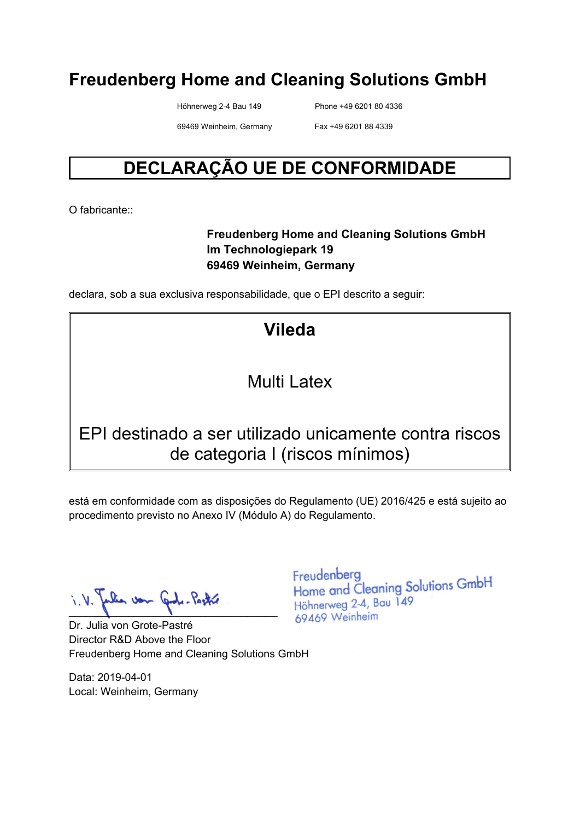Höhnerweg 2-4 Bau 149 Phone +49 6201 80 4336

69469 Weinheim, Germany Fax +49 6201 88 4339

## **DECLARAÇÃO UE DE CONFORMIDADE**

O fabricante:

#### **Freudenberg Home and Cleaning Solutions GmbH Im Technologiepark 19 69469 Weinheim, Germany**

declara, sob a sua exclusiva responsabilidade, que o EPI descrito a seguir:

**Vileda** 

#### Multi Latex

#### EPI destinado a ser utilizado unicamente contra riscos de categoria I (riscos mínimos)

está em conformidade com as disposições do Regulamento (UE) 2016/425 e está sujeito ao procedimento previsto no Anexo IV (Módulo A) do Regulamento.

 $\blacksquare$ 

Dr. Julia von Grote-Pastré Director R&D Above the Floor Freudenberg Home and Cleaning Solutions GmbH

Data: 2019-04-01 Local: Weinheim, Germany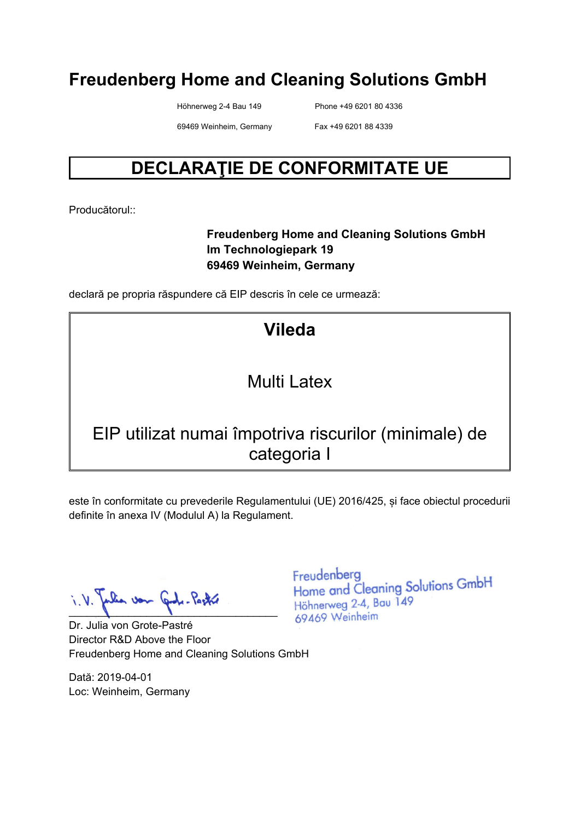Höhnerweg 2-4 Bau 149 Phone +49 6201 80 4336

69469 Weinheim, Germany Fax +49 6201 88 4339

## **DECLARAŢIE DE CONFORMITATE UE**

Producătorul::

#### **Freudenberg Home and Cleaning Solutions GmbH Im Technologiepark 19 69469 Weinheim, Germany**

declară pe propria răspundere că EIP descris în cele ce urmează:

**Vileda** 

### Multi Latex

### EIP utilizat numai împotriva riscurilor (minimale) de categoria I

este în conformitate cu prevederile Regulamentului (UE) 2016/425, și face obiectul procedurii definite în anexa IV (Modulul A) la Regulament.

lia von Graf. Pastre  $\blacksquare$ 

Dr. Julia von Grote-Pastré Director R&D Above the Floor Freudenberg Home and Cleaning Solutions GmbH

Dată: 2019-04-01 Loc: Weinheim, Germany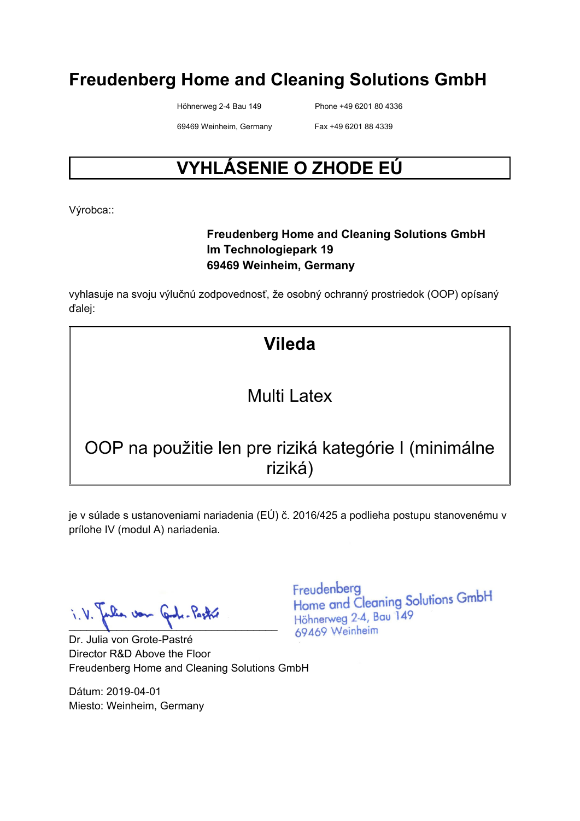Höhnerweg 2-4 Bau 149 Phone +49 6201 80 4336

69469 Weinheim, Germany Fax +49 6201 88 4339

# **VYHLÁSENIE O ZHODE EÚ**

Výrobca::

#### **Freudenberg Home and Cleaning Solutions GmbH Im Technologiepark 19 69469 Weinheim, Germany**

vyhlasuje na svoju výlučnú zodpovednosť, že osobný ochranný prostriedok (OOP) opísaný ďalej:

## **Vileda**

### Multi Latex

## OOP na použitie len pre riziká kategórie I (minimálne riziká)

je v súlade s ustanoveniami nariadenia (EÚ) č. 2016/425 a podlieha postupu stanovenému v prílohe IV (modul A) nariadenia.

 $\blacksquare$ 

Dr. Julia von Grote-Pastré Director R&D Above the Floor Freudenberg Home and Cleaning Solutions GmbH

Dátum: 2019-04-01 Miesto: Weinheim, Germany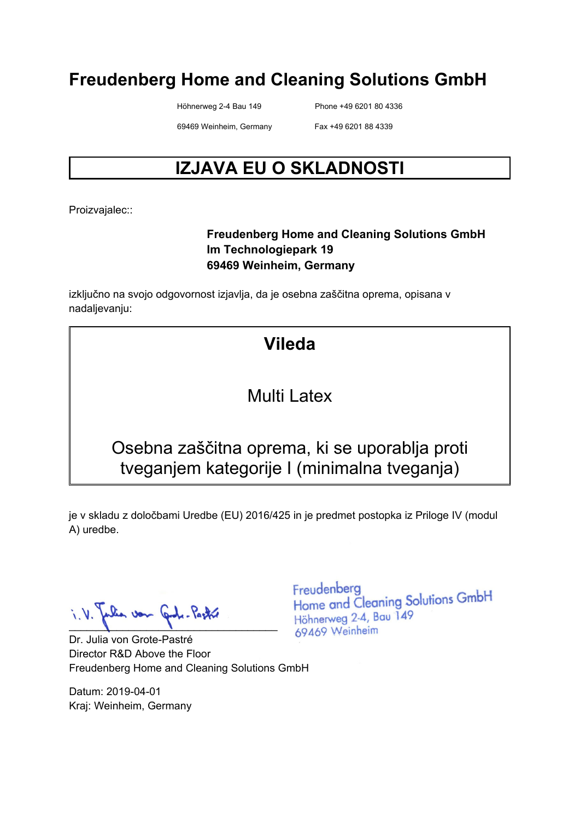Höhnerweg 2-4 Bau 149 Phone +49 6201 80 4336

69469 Weinheim, Germany Fax +49 6201 88 4339

# **IZJAVA EU O SKLADNOSTI**

Proizvajalec::

#### **Freudenberg Home and Cleaning Solutions GmbH Im Technologiepark 19 69469 Weinheim, Germany**

izključno na svojo odgovornost izjavlja, da je osebna zaščitna oprema, opisana v nadaljevanju:

## **Vileda**

#### Multi Latex

### Osebna zaščitna oprema, ki se uporablja proti tveganjem kategorije I (minimalna tveganja)

je v skladu z določbami Uredbe (EU) 2016/425 in je predmet postopka iz Priloge IV (modul A) uredbe.

Jon  $\blacksquare$ 

Dr. Julia von Grote-Pastré Director R&D Above the Floor Freudenberg Home and Cleaning Solutions GmbH

Datum: 2019-04-01 Kraj: Weinheim, Germany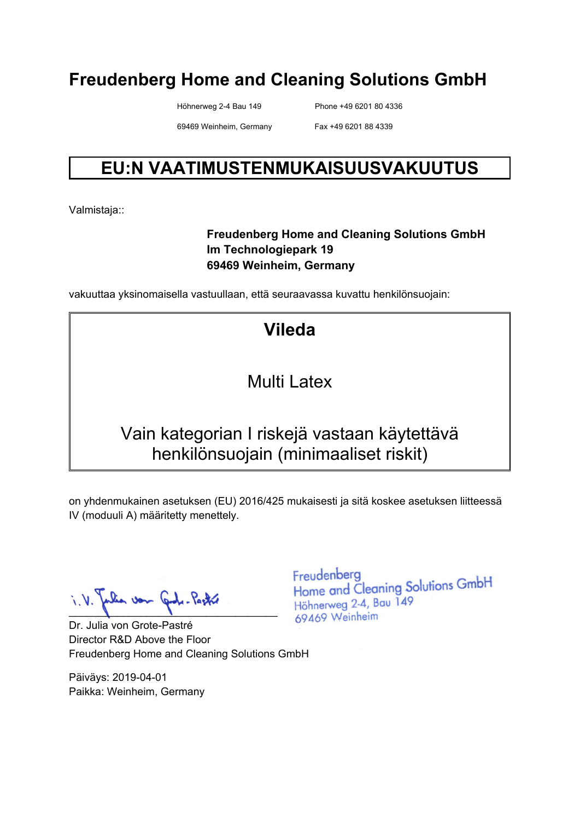Höhnerweg 2-4 Bau 149 Phone +49 6201 80 4336

69469 Weinheim, Germany Fax +49 6201 88 4339

## **EU:N VAATIMUSTENMUKAISUUSVAKUUTUS**

Valmistaja::

#### **Freudenberg Home and Cleaning Solutions GmbH Im Technologiepark 19 69469 Weinheim, Germany**

vakuuttaa yksinomaisella vastuullaan, että seuraavassa kuvattu henkilönsuojain:

**Vileda** 

Multi Latex

### Vain kategorian I riskejä vastaan käytettävä henkilönsuojain (minimaaliset riskit)

on yhdenmukainen asetuksen (EU) 2016/425 mukaisesti ja sitä koskee asetuksen liitteessä IV (moduuli A) määritetty menettely.

pulia von Gode-Pastre

Dr. Julia von Grote-Pastré Director R&D Above the Floor Freudenberg Home and Cleaning Solutions GmbH

Päiväys: 2019-04-01 Paikka: Weinheim, Germany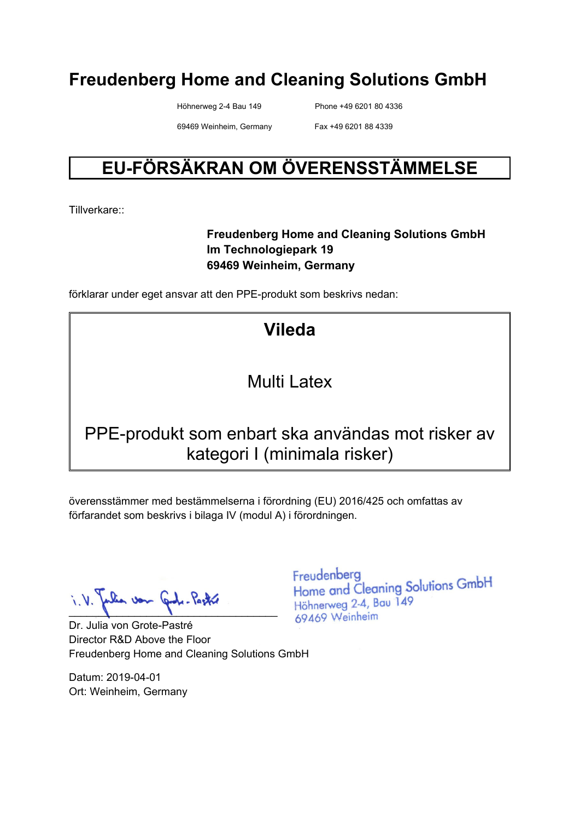Höhnerweg 2-4 Bau 149 Phone +49 6201 80 4336

69469 Weinheim, Germany Fax +49 6201 88 4339

# **EU-FÖRSÄKRAN OM ÖVERENSSTÄMMELSE**

Tillverkare::

#### **Freudenberg Home and Cleaning Solutions GmbH Im Technologiepark 19 69469 Weinheim, Germany**

förklarar under eget ansvar att den PPE-produkt som beskrivs nedan:

# **Vileda**

### Multi Latex

### PPE-produkt som enbart ska användas mot risker av kategori I (minimala risker)

överensstämmer med bestämmelserna i förordning (EU) 2016/425 och omfattas av förfarandet som beskrivs i bilaga IV (modul A) i förordningen.

 $\blacksquare$ 

Dr. Julia von Grote-Pastré Director R&D Above the Floor Freudenberg Home and Cleaning Solutions GmbH

Datum: 2019-04-01 Ort: Weinheim, Germany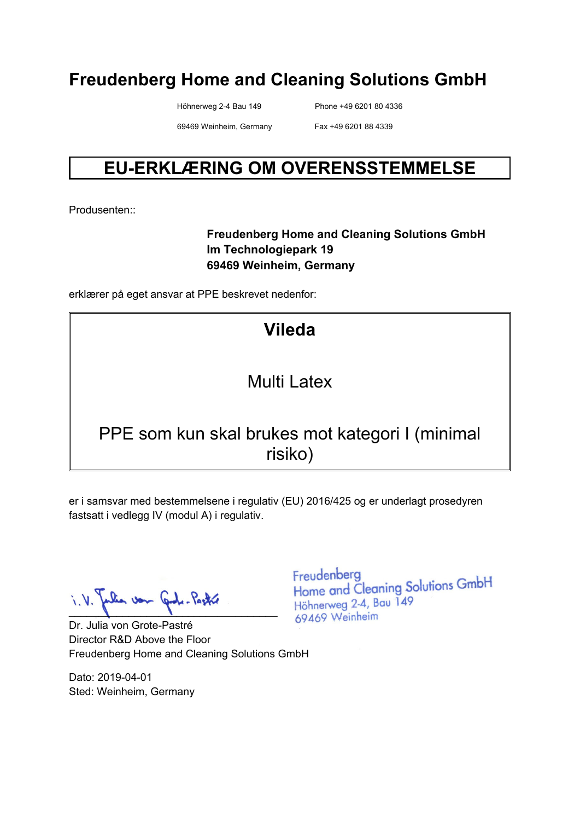Höhnerweg 2-4 Bau 149 Phone +49 6201 80 4336

69469 Weinheim, Germany Fax +49 6201 88 4339

### **EU-ERKLÆRING OM OVERENSSTEMMELSE**

Produsenten::

#### **Freudenberg Home and Cleaning Solutions GmbH Im Technologiepark 19 69469 Weinheim, Germany**

erklærer på eget ansvar at PPE beskrevet nedenfor:

# **Vileda**

### Multi Latex

#### PPE som kun skal brukes mot kategori I (minimal risiko)

er i samsvar med bestemmelsene i regulativ (EU) 2016/425 og er underlagt prosedyren fastsatt i vedlegg IV (modul A) i regulativ.

lia von Gode-Pastre  $\blacksquare$ 

Dr. Julia von Grote-Pastré Director R&D Above the Floor Freudenberg Home and Cleaning Solutions GmbH

Dato: 2019-04-01 Sted: Weinheim, Germany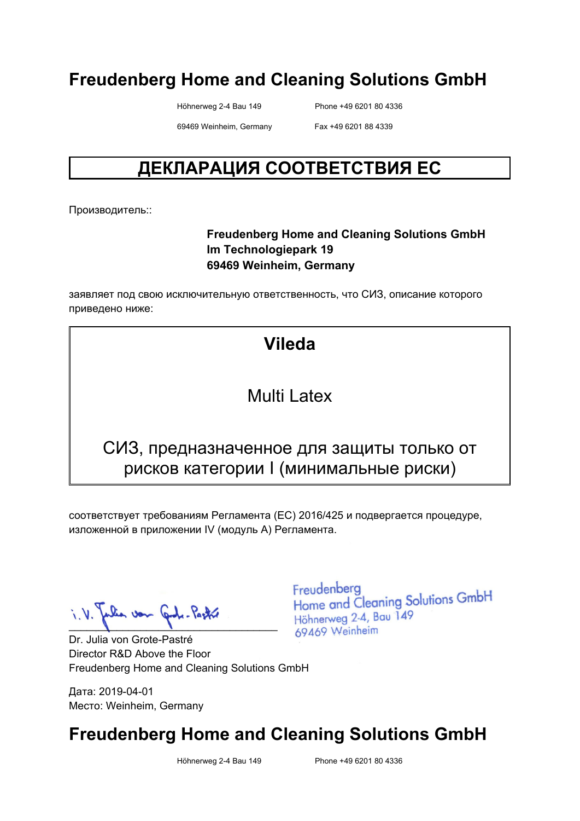Höhnerweg 2-4 Bau 149 Phone +49 6201 80 4336

69469 Weinheim, Germany Fax +49 6201 88 4339

## **ДЕКЛАРАЦИЯ СООТВЕТСТВИЯ ЕС**

Производитель::

#### **Freudenberg Home and Cleaning Solutions GmbH Im Technologiepark 19 69469 Weinheim, Germany**

заявляет под свою исключительную ответственность, что СИЗ, описание которого приведено ниже:

#### **Vileda**

#### Multi Latex

#### СИЗ, предназначенное для защиты только от рисков категории I (минимальные риски)

соответствует требованиям Регламента (ЕС) 2016/425 и подвергается процедуре, изложенной в приложении IV (модуль A) Регламента.

 $\blacksquare$ 

Dr. Julia von Grote-Pastré Director R&D Above the Floor Freudenberg Home and Cleaning Solutions GmbH

Дата: 2019-04-01 Место: Weinheim, Germany Freudenberg Home and Cleaning Solutions GmbH Höhnerweg 2-4, Bau 149 69469 Weinheim

### **Freudenberg Home and Cleaning Solutions GmbH**

Höhnerweg 2-4 Bau 149 Phone +49 6201 80 4336